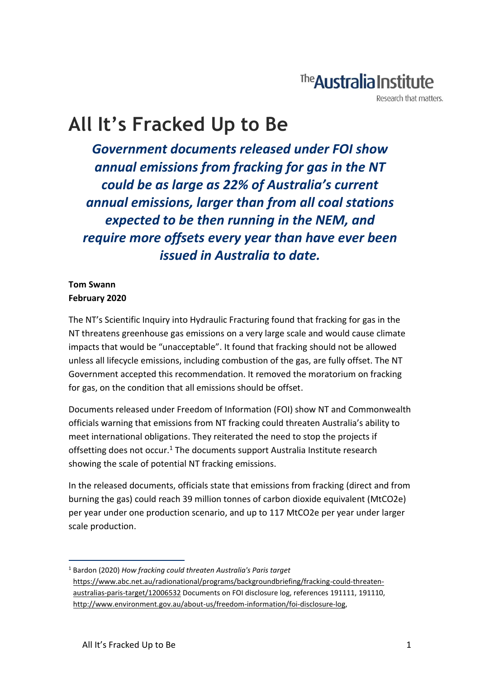## The **Australia Institute**

Research that matters

# **All It's Fracked Up to Be**

*Government documents released under FOI show annual emissions from fracking for gas in the NT could be as large as 22% of Australia's current annual emissions, larger than from all coal stations expected to be then running in the NEM, and require more offsets every year than have ever been issued in Australia to date.*

#### **Tom Swann February 2020**

The NT's Scientific Inquiry into Hydraulic Fracturing found that fracking for gas in the NT threatens greenhouse gas emissions on a very large scale and would cause climate impacts that would be "unacceptable". It found that fracking should not be allowed unless all lifecycle emissions, including combustion of the gas, are fully offset. The NT Government accepted this recommendation. It removed the moratorium on fracking for gas, on the condition that all emissions should be offset.

Documents released under Freedom of Information (FOI) show NT and Commonwealth officials warning that emissions from NT fracking could threaten Australia's ability to meet international obligations. They reiterated the need to stop the projects if offsetting does not occur.<sup>1</sup> The documents support Australia Institute research showing the scale of potential NT fracking emissions.

In the released documents, officials state that emissions from fracking (direct and from burning the gas) could reach 39 million tonnes of carbon dioxide equivalent (MtCO2e) per year under one production scenario, and up to 117 MtCO2e per year under larger scale production.

<sup>1</sup> Bardon (2020) *How fracking could threaten Australia's Paris target* [https://www.abc.net.au/radionational/programs/backgroundbriefing/fracking-could-threaten](https://www.abc.net.au/radionational/programs/backgroundbriefing/fracking-could-threaten-australias-paris-target/12006532)[australias-paris-target/12006532](https://www.abc.net.au/radionational/programs/backgroundbriefing/fracking-could-threaten-australias-paris-target/12006532) Documents on FOI disclosure log, references 191111, 191110, [http://www.environment.gov.au/about-us/freedom-information/foi-disclosure-log,](http://www.environment.gov.au/about-us/freedom-information/foi-disclosure-log)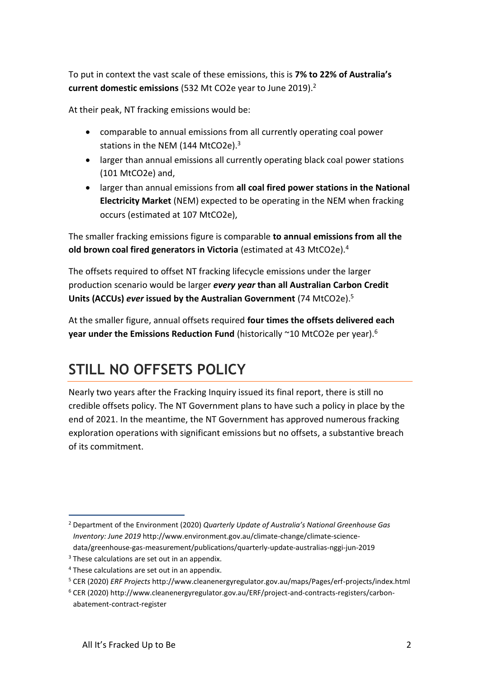To put in context the vast scale of these emissions, this is **7% to 22% of Australia's current domestic emissions** (532 Mt CO2e year to June 2019).<sup>2</sup>

At their peak, NT fracking emissions would be:

- comparable to annual emissions from all currently operating coal power stations in the NEM (144 MtCO2e).<sup>3</sup>
- larger than annual emissions all currently operating black coal power stations (101 MtCO2e) and,
- larger than annual emissions from **all coal fired power stations in the National Electricity Market** (NEM) expected to be operating in the NEM when fracking occurs (estimated at 107 MtCO2e),

The smaller fracking emissions figure is comparable **to annual emissions from all the old brown coal fired generators in Victoria** (estimated at 43 MtCO2e).<sup>4</sup>

The offsets required to offset NT fracking lifecycle emissions under the larger production scenario would be larger *every year* **than all Australian Carbon Credit Units (ACCUs)** *ever* **issued by the Australian Government** (74 MtCO2e). 5

At the smaller figure, annual offsets required **four times the offsets delivered each year under the Emissions Reduction Fund** (historically ~10 MtCO2e per year).<sup>6</sup>

### **STILL NO OFFSETS POLICY**

Nearly two years after the Fracking Inquiry issued its final report, there is still no credible offsets policy. The NT Government plans to have such a policy in place by the end of 2021. In the meantime, the NT Government has approved numerous fracking exploration operations with significant emissions but no offsets, a substantive breach of its commitment.

<sup>2</sup> Department of the Environment (2020) *Quarterly Update of Australia's National Greenhouse Gas Inventory: June 2019* http://www.environment.gov.au/climate-change/climate-sciencedata/greenhouse-gas-measurement/publications/quarterly-update-australias-nggi-jun-2019

 $3$  These calculations are set out in an appendix.

<sup>4</sup> These calculations are set out in an appendix.

<sup>5</sup> CER (2020) *ERF Projects* http://www.cleanenergyregulator.gov.au/maps/Pages/erf-projects/index.html

<sup>6</sup> CER (2020) http://www.cleanenergyregulator.gov.au/ERF/project-and-contracts-registers/carbonabatement-contract-register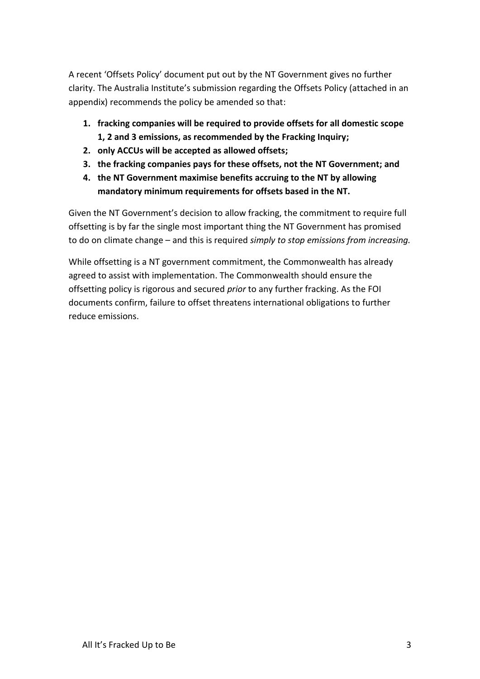A recent 'Offsets Policy' document put out by the NT Government gives no further clarity. The Australia Institute's submission regarding the Offsets Policy (attached in an appendix) recommends the policy be amended so that:

- **1. fracking companies will be required to provide offsets for all domestic scope 1, 2 and 3 emissions, as recommended by the Fracking Inquiry;**
- **2. only ACCUs will be accepted as allowed offsets;**
- **3. the fracking companies pays for these offsets, not the NT Government; and**
- **4. the NT Government maximise benefits accruing to the NT by allowing mandatory minimum requirements for offsets based in the NT.**

Given the NT Government's decision to allow fracking, the commitment to require full offsetting is by far the single most important thing the NT Government has promised to do on climate change – and this is required *simply to stop emissions from increasing.* 

While offsetting is a NT government commitment, the Commonwealth has already agreed to assist with implementation. The Commonwealth should ensure the offsetting policy is rigorous and secured *prior* to any further fracking. As the FOI documents confirm, failure to offset threatens international obligations to further reduce emissions.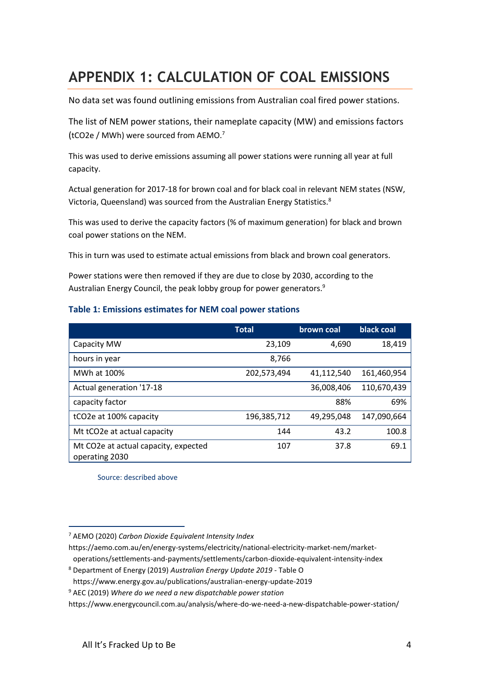### **APPENDIX 1: CALCULATION OF COAL EMISSIONS**

No data set was found outlining emissions from Australian coal fired power stations.

The list of NEM power stations, their nameplate capacity (MW) and emissions factors (tCO2e / MWh) were sourced from AEMO.<sup>7</sup>

This was used to derive emissions assuming all power stations were running all year at full capacity.

Actual generation for 2017-18 for brown coal and for black coal in relevant NEM states (NSW, Victoria, Queensland) was sourced from the Australian Energy Statistics.<sup>8</sup>

This was used to derive the capacity factors (% of maximum generation) for black and brown coal power stations on the NEM.

This in turn was used to estimate actual emissions from black and brown coal generators.

Power stations were then removed if they are due to close by 2030, according to the Australian Energy Council, the peak lobby group for power generators.<sup>9</sup>

#### **Table 1: Emissions estimates for NEM coal power stations**

|                                                        | <b>Total</b> | brown coal | black coal  |
|--------------------------------------------------------|--------------|------------|-------------|
| Capacity MW                                            | 23,109       | 4,690      | 18,419      |
| hours in year                                          | 8,766        |            |             |
| MWh at 100%                                            | 202,573,494  | 41,112,540 | 161,460,954 |
| Actual generation '17-18                               |              | 36,008,406 | 110,670,439 |
| capacity factor                                        |              | 88%        | 69%         |
| tCO2e at 100% capacity                                 | 196,385,712  | 49,295,048 | 147,090,664 |
| Mt tCO2e at actual capacity                            | 144          | 43.2       | 100.8       |
| Mt CO2e at actual capacity, expected<br>operating 2030 | 107          | 37.8       | 69.1        |

Source: described above

https://aemo.com.au/en/energy-systems/electricity/national-electricity-market-nem/market-

operations/settlements-and-payments/settlements/carbon-dioxide-equivalent-intensity-index

<sup>7</sup> AEMO (2020) *Carbon Dioxide Equivalent Intensity Index*

<sup>8</sup> Department of Energy (2019) *Australian Energy Update 2019 -* Table O

https://www.energy.gov.au/publications/australian-energy-update-2019

<sup>9</sup> AEC (2019) *Where do we need a new dispatchable power station*

https://www.energycouncil.com.au/analysis/where-do-we-need-a-new-dispatchable-power-station/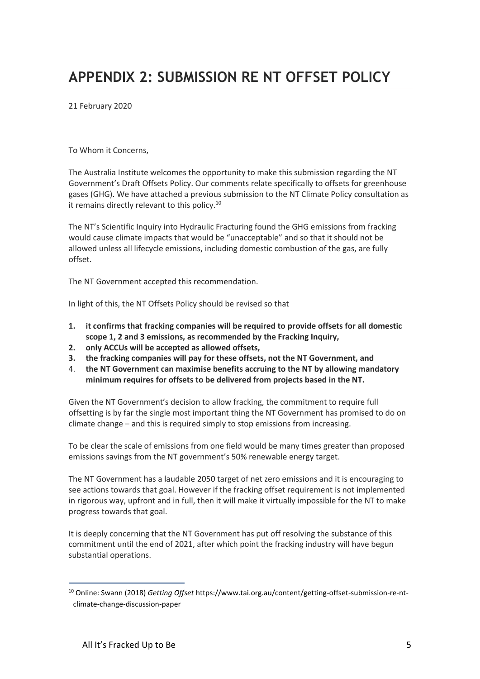21 February 2020

To Whom it Concerns,

The Australia Institute welcomes the opportunity to make this submission regarding the NT Government's Draft Offsets Policy. Our comments relate specifically to offsets for greenhouse gases (GHG). We have attached a previous submission to the NT Climate Policy consultation as it remains directly relevant to this policy.<sup>10</sup>

The NT's Scientific Inquiry into Hydraulic Fracturing found the GHG emissions from fracking would cause climate impacts that would be "unacceptable" and so that it should not be allowed unless all lifecycle emissions, including domestic combustion of the gas, are fully offset.

The NT Government accepted this recommendation.

In light of this, the NT Offsets Policy should be revised so that

- **1. it confirms that fracking companies will be required to provide offsets for all domestic scope 1, 2 and 3 emissions, as recommended by the Fracking Inquiry,**
- **2. only ACCUs will be accepted as allowed offsets,**
- **3. the fracking companies will pay for these offsets, not the NT Government, and**
- 4. **the NT Government can maximise benefits accruing to the NT by allowing mandatory minimum requires for offsets to be delivered from projects based in the NT.**

Given the NT Government's decision to allow fracking, the commitment to require full offsetting is by far the single most important thing the NT Government has promised to do on climate change – and this is required simply to stop emissions from increasing.

To be clear the scale of emissions from one field would be many times greater than proposed emissions savings from the NT government's 50% renewable energy target.

The NT Government has a laudable 2050 target of net zero emissions and it is encouraging to see actions towards that goal. However if the fracking offset requirement is not implemented in rigorous way, upfront and in full, then it will make it virtually impossible for the NT to make progress towards that goal.

It is deeply concerning that the NT Government has put off resolving the substance of this commitment until the end of 2021, after which point the fracking industry will have begun substantial operations.

<sup>10</sup> Online: Swann (2018) *Getting Offset* https://www.tai.org.au/content/getting-offset-submission-re-ntclimate-change-discussion-paper